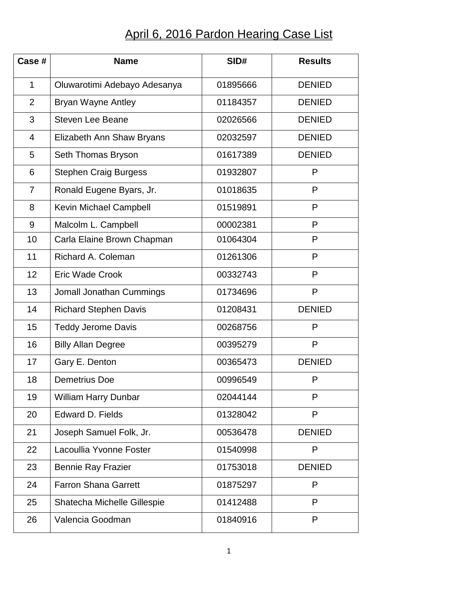## April 6, 2016 Pardon Hearing Case List

| Case#          | <b>Name</b>                   | SID#     | <b>Results</b> |
|----------------|-------------------------------|----------|----------------|
| $\mathbf{1}$   | Oluwarotimi Adebayo Adesanya  | 01895666 | <b>DENIED</b>  |
| $\overline{2}$ | <b>Bryan Wayne Antley</b>     | 01184357 | <b>DENIED</b>  |
| 3              | <b>Steven Lee Beane</b>       | 02026566 | <b>DENIED</b>  |
| $\overline{4}$ | Elizabeth Ann Shaw Bryans     | 02032597 | <b>DENIED</b>  |
| 5              | Seth Thomas Bryson            | 01617389 | <b>DENIED</b>  |
| 6              | <b>Stephen Craig Burgess</b>  | 01932807 | P              |
| $\overline{7}$ | Ronald Eugene Byars, Jr.      | 01018635 | P              |
| 8              | <b>Kevin Michael Campbell</b> | 01519891 | P              |
| 9              | Malcolm L. Campbell           | 00002381 | P              |
| 10             | Carla Elaine Brown Chapman    | 01064304 | P              |
| 11             | Richard A. Coleman            | 01261306 | P              |
| 12             | <b>Eric Wade Crook</b>        | 00332743 | P              |
| 13             | Jomall Jonathan Cummings      | 01734696 | P              |
| 14             | <b>Richard Stephen Davis</b>  | 01208431 | <b>DENIED</b>  |
| 15             | <b>Teddy Jerome Davis</b>     | 00268756 | P              |
| 16             | <b>Billy Allan Degree</b>     | 00395279 | P              |
| 17             | Gary E. Denton                | 00365473 | <b>DENIED</b>  |
| 18             | <b>Demetrius Doe</b>          | 00996549 | P              |
| 19             | <b>William Harry Dunbar</b>   | 02044144 | P              |
| 20             | <b>Edward D. Fields</b>       | 01328042 | P              |
| 21             | Joseph Samuel Folk, Jr.       | 00536478 | <b>DENIED</b>  |
| 22             | Lacoullia Yvonne Foster       | 01540998 | P              |
| 23             | <b>Bennie Ray Frazier</b>     | 01753018 | <b>DENIED</b>  |
| 24             | <b>Farron Shana Garrett</b>   | 01875297 | P              |
| 25             | Shatecha Michelle Gillespie   | 01412488 | P              |
| 26             | Valencia Goodman              | 01840916 | P              |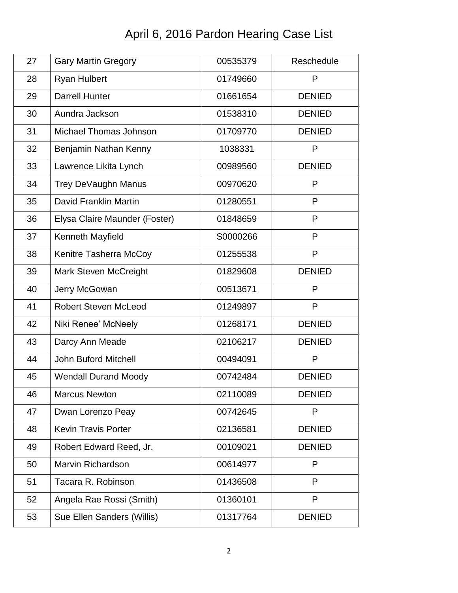## April 6, 2016 Pardon Hearing Case List

| 27 | <b>Gary Martin Gregory</b>    | 00535379 | Reschedule    |
|----|-------------------------------|----------|---------------|
| 28 | <b>Ryan Hulbert</b>           | 01749660 | P             |
| 29 | <b>Darrell Hunter</b>         | 01661654 | <b>DENIED</b> |
| 30 | Aundra Jackson                | 01538310 | <b>DENIED</b> |
| 31 | Michael Thomas Johnson        | 01709770 | <b>DENIED</b> |
| 32 | Benjamin Nathan Kenny         | 1038331  | P             |
| 33 | Lawrence Likita Lynch         | 00989560 | <b>DENIED</b> |
| 34 | Trey DeVaughn Manus           | 00970620 | P             |
| 35 | David Franklin Martin         | 01280551 | P             |
| 36 | Elysa Claire Maunder (Foster) | 01848659 | P             |
| 37 | Kenneth Mayfield              | S0000266 | P             |
| 38 | Kenitre Tasherra McCoy        | 01255538 | P             |
| 39 | <b>Mark Steven McCreight</b>  | 01829608 | <b>DENIED</b> |
| 40 | Jerry McGowan                 | 00513671 | P             |
| 41 | <b>Robert Steven McLeod</b>   | 01249897 | P             |
| 42 | Niki Renee' McNeely           | 01268171 | <b>DENIED</b> |
| 43 | Darcy Ann Meade               | 02106217 | <b>DENIED</b> |
| 44 | <b>John Buford Mitchell</b>   | 00494091 | P             |
| 45 | <b>Wendall Durand Moody</b>   | 00742484 | <b>DENIED</b> |
| 46 | <b>Marcus Newton</b>          | 02110089 | <b>DENIED</b> |
| 47 | Dwan Lorenzo Peay             | 00742645 | P             |
| 48 | <b>Kevin Travis Porter</b>    | 02136581 | <b>DENIED</b> |
| 49 | Robert Edward Reed, Jr.       | 00109021 | <b>DENIED</b> |
| 50 | <b>Marvin Richardson</b>      | 00614977 | P             |
| 51 | Tacara R. Robinson            | 01436508 | P             |
| 52 | Angela Rae Rossi (Smith)      | 01360101 | P             |
| 53 | Sue Ellen Sanders (Willis)    | 01317764 | <b>DENIED</b> |